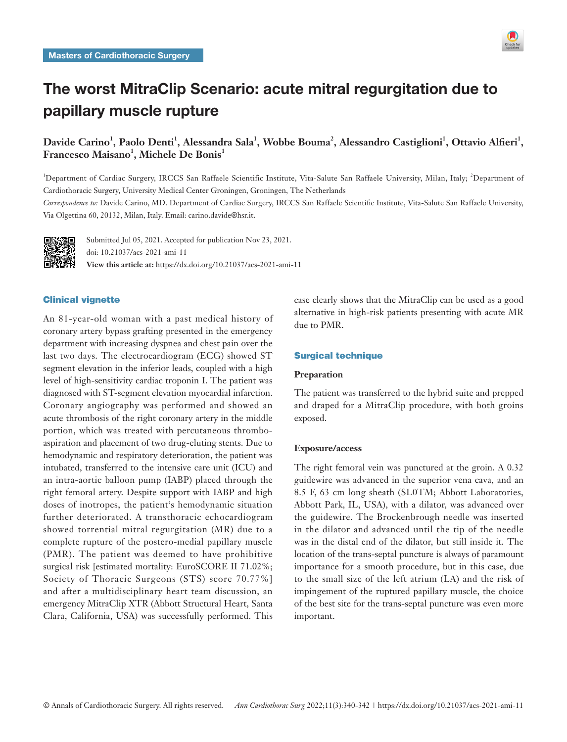

# The worst MitraClip Scenario: acute mitral regurgitation due to papillary muscle rupture

## Davide Carino<sup>1</sup>, Paolo Denti<sup>1</sup>, Alessandra Sala<sup>1</sup>, Wobbe Bouma<sup>2</sup>, Alessandro Castiglioni<sup>1</sup>, Ottavio Alfieri<sup>1</sup>,  $\operatorname{Francesco}\nolimits M$ aisano<sup>1</sup>, Michele De Bonis<sup>1</sup>

<sup>1</sup>Department of Cardiac Surgery, IRCCS San Raffaele Scientific Institute, Vita-Salute San Raffaele University, Milan, Italy; <sup>2</sup>Department of Cardiothoracic Surgery, University Medical Center Groningen, Groningen, The Netherlands

*Correspondence to:* Davide Carino, MD. Department of Cardiac Surgery, IRCCS San Raffaele Scientific Institute, Vita-Salute San Raffaele University, Via Olgettina 60, 20132, Milan, Italy. Email: carino.davide@hsr.it.



Submitted Jul 05, 2021. Accepted for publication Nov 23, 2021. doi: 10.21037/acs-2021-ami-11 **View this article at:** https://dx.doi.org/10.21037/acs-2021-ami-11

## Clinical vignette

An 81-year-old woman with a past medical history of coronary artery bypass grafting presented in the emergency department with increasing dyspnea and chest pain over the last two days. The electrocardiogram (ECG) showed ST segment elevation in the inferior leads, coupled with a high level of high-sensitivity cardiac troponin I. The patient was diagnosed with ST-segment elevation myocardial infarction. Coronary angiography was performed and showed an acute thrombosis of the right coronary artery in the middle portion, which was treated with percutaneous thromboaspiration and placement of two drug-eluting stents. Due to hemodynamic and respiratory deterioration, the patient was intubated, transferred to the intensive care unit (ICU) and an intra-aortic balloon pump (IABP) placed through the right femoral artery. Despite support with IABP and high doses of inotropes, the patient's hemodynamic situation further deteriorated. A transthoracic echocardiogram showed torrential mitral regurgitation (MR) due to a complete rupture of the postero-medial papillary muscle (PMR). The patient was deemed to have prohibitive surgical risk [estimated mortality: EuroSCORE II 71.02%; Society of Thoracic Surgeons (STS) score 70.77%] and after a multidisciplinary heart team discussion, an emergency MitraClip XTR (Abbott Structural Heart, Santa Clara, California, USA) was successfully performed. This case clearly shows that the MitraClip can be used as a good alternative in high-risk patients presenting with acute MR due to PMR.

## Surgical technique

### **Preparation**

The patient was transferred to the hybrid suite and prepped and draped for a MitraClip procedure, with both groins exposed.

## **Exposure/access**

The right femoral vein was punctured at the groin. A 0.32 guidewire was advanced in the superior vena cava, and an 8.5 F, 63 cm long sheath (SL0TM; Abbott Laboratories, Abbott Park, IL, USA), with a dilator, was advanced over the guidewire. The Brockenbrough needle was inserted in the dilator and advanced until the tip of the needle was in the distal end of the dilator, but still inside it. The location of the trans-septal puncture is always of paramount importance for a smooth procedure, but in this case, due to the small size of the left atrium (LA) and the risk of impingement of the ruptured papillary muscle, the choice of the best site for the trans-septal puncture was even more important.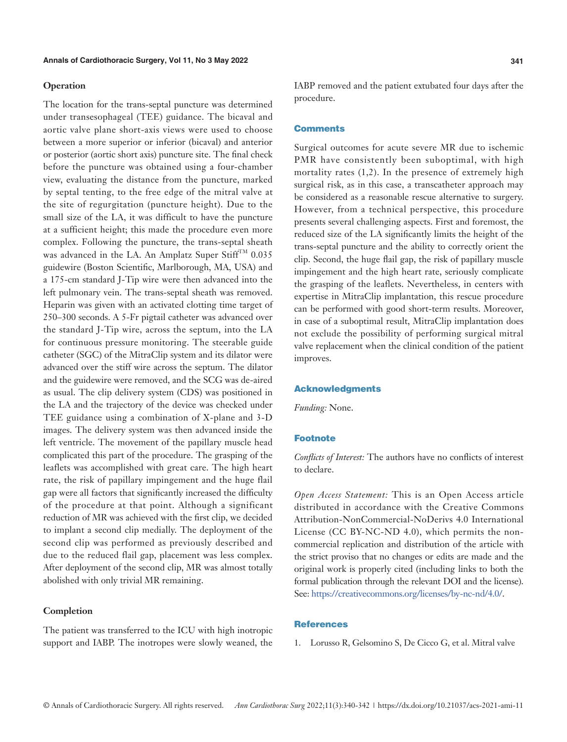#### **Operation**

The location for the trans-septal puncture was determined under transesophageal (TEE) guidance. The bicaval and aortic valve plane short-axis views were used to choose between a more superior or inferior (bicaval) and anterior or posterior (aortic short axis) puncture site. The final check before the puncture was obtained using a four-chamber view, evaluating the distance from the puncture, marked by septal tenting, to the free edge of the mitral valve at the site of regurgitation (puncture height). Due to the small size of the LA, it was difficult to have the puncture at a sufficient height; this made the procedure even more complex. Following the puncture, the trans-septal sheath was advanced in the LA. An Amplatz Super StiffTM  $0.035$ guidewire (Boston Scientific, Marlborough, MA, USA) and a 175-cm standard J-Tip wire were then advanced into the left pulmonary vein. The trans-septal sheath was removed. Heparin was given with an activated clotting time target of 250–300 seconds. A 5-Fr pigtail catheter was advanced over the standard J-Tip wire, across the septum, into the LA for continuous pressure monitoring. The steerable guide catheter (SGC) of the MitraClip system and its dilator were advanced over the stiff wire across the septum. The dilator and the guidewire were removed, and the SCG was de-aired as usual. The clip delivery system (CDS) was positioned in the LA and the trajectory of the device was checked under TEE guidance using a combination of X-plane and 3-D images. The delivery system was then advanced inside the left ventricle. The movement of the papillary muscle head complicated this part of the procedure. The grasping of the leaflets was accomplished with great care. The high heart rate, the risk of papillary impingement and the huge flail gap were all factors that significantly increased the difficulty of the procedure at that point. Although a significant reduction of MR was achieved with the first clip, we decided to implant a second clip medially. The deployment of the second clip was performed as previously described and due to the reduced flail gap, placement was less complex. After deployment of the second clip, MR was almost totally abolished with only trivial MR remaining.

## **Completion**

The patient was transferred to the ICU with high inotropic support and IABP. The inotropes were slowly weaned, the IABP removed and the patient extubated four days after the procedure.

#### **Comments**

Surgical outcomes for acute severe MR due to ischemic PMR have consistently been suboptimal, with high mortality rates (1,2). In the presence of extremely high surgical risk, as in this case, a transcatheter approach may be considered as a reasonable rescue alternative to surgery. However, from a technical perspective, this procedure presents several challenging aspects. First and foremost, the reduced size of the LA significantly limits the height of the trans-septal puncture and the ability to correctly orient the clip. Second, the huge flail gap, the risk of papillary muscle impingement and the high heart rate, seriously complicate the grasping of the leaflets. Nevertheless, in centers with expertise in MitraClip implantation, this rescue procedure can be performed with good short-term results. Moreover, in case of a suboptimal result, MitraClip implantation does not exclude the possibility of performing surgical mitral valve replacement when the clinical condition of the patient improves.

#### Acknowledgments

*Funding:* None.

#### **Footnote**

*Conflicts of Interest:* The authors have no conflicts of interest to declare.

*Open Access Statement:* This is an Open Access article distributed in accordance with the Creative Commons Attribution-NonCommercial-NoDerivs 4.0 International License (CC BY-NC-ND 4.0), which permits the noncommercial replication and distribution of the article with the strict proviso that no changes or edits are made and the original work is properly cited (including links to both the formal publication through the relevant DOI and the license). See: [https://creativecommons.org/licenses/by-nc-nd/4.0/.](https://creativecommons.org/licenses/by-nc-nd/4.0/)

#### References

1. Lorusso R, Gelsomino S, De Cicco G, et al. Mitral valve